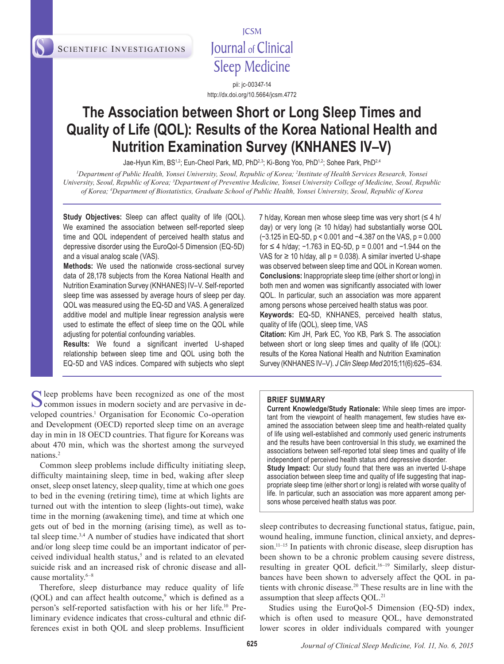SCIENTIFIC INVESTIGATIONS

**ICSM** Journal of Clinical **Sleep Medicine** 

pii: jc-00347-14 http://dx.doi.org/10.5664/jcsm.4772

# **The Association between Short or Long Sleep Times and Quality of Life (QOL): Results of the Korea National Health and Nutrition Examination Survey (KNHANES IV–V)**

Jae-Hyun Kim, BS<sup>1,2</sup>; Eun-Cheol Park, MD, PhD<sup>2,3</sup>; Ki-Bong Yoo, PhD<sup>1,2</sup>; Sohee Park, PhD<sup>2,4</sup>

*1 Department of Public Health, Yonsei University, Seoul, Republic of Korea; 2 Institute of Health Services Research, Yonsei*  University, Seoul, Republic of Korea; <sup>3</sup>Department of Preventive Medicine, Yonsei University College of Medicine, Seoul, Republic *of Korea; 4 Department of Biostatistics, Graduate School of Public Health, Yonsei University, Seoul, Republic of Korea*

**Study Objectives:** Sleep can affect quality of life (QOL). We examined the association between self-reported sleep time and QOL independent of perceived health status and depressive disorder using the EuroQol-5 Dimension (EQ-5D) and a visual analog scale (VAS).

**Methods:** We used the nationwide cross-sectional survey data of 28,178 subjects from the Korea National Health and Nutrition Examination Survey (KNHANES) IV–V. Self-reported sleep time was assessed by average hours of sleep per day. QOL was measured using the EQ-5D and VAS. A generalized additive model and multiple linear regression analysis were used to estimate the effect of sleep time on the QOL while adjusting for potential confounding variables.

**Results:** We found a significant inverted U-shaped relationship between sleep time and QOL using both the EQ-5D and VAS indices. Compared with subjects who slept

Sleep problems have been recognized as one of the most<br>common issues in modern society and are pervasive in developed countries.<sup>1</sup> Organisation for Economic Co-operation and Development (OECD) reported sleep time on an average day in min in 18 OECD countries. That figure for Koreans was about 470 min, which was the shortest among the surveyed nations.2

Common sleep problems include difficulty initiating sleep, difficulty maintaining sleep, time in bed, waking after sleep onset, sleep onset latency, sleep quality, time at which one goes to bed in the evening (retiring time), time at which lights are turned out with the intention to sleep (lights-out time), wake time in the morning (awakening time), and time at which one gets out of bed in the morning (arising time), as well as total sleep time.3,4 A number of studies have indicated that short and/or long sleep time could be an important indicator of perceived individual health status,5 and is related to an elevated suicide risk and an increased risk of chronic disease and allcause mortality.6–8

Therefore, sleep disturbance may reduce quality of life  $(QOL)$  and can affect health outcome,<sup>9</sup> which is defined as a person's self-reported satisfaction with his or her life.10 Preliminary evidence indicates that cross-cultural and ethnic differences exist in both QOL and sleep problems. Insufficient

7 h/day, Korean men whose sleep time was very short  $(\leq 4 \text{ h})$ day) or very long  $(≥ 10 h/day)$  had substantially worse QOL (−3.125 in EQ-5D, p < 0.001 and −4.387 on the VAS, p = 0.000 for ≤ 4 h/day; −1.763 in EQ-5D, p = 0.001 and −1.944 on the VAS for  $≥$  10 h/day, all  $p = 0.038$ ). A similar inverted U-shape was observed between sleep time and QOL in Korean women. **Conclusions:** Inappropriate sleep time (either short or long) in both men and women was significantly associated with lower QOL. In particular, such an association was more apparent among persons whose perceived health status was poor. **Keywords:** EQ-5D, KNHANES, perceived health status, quality of life (QOL), sleep time, VAS **Citation:** Kim JH, Park EC, Yoo KB, Park S. The association

between short or long sleep times and quality of life (QOL): results of the Korea National Health and Nutrition Examination Survey (KNHANES IV–V). *J Clin Sleep Med* 2015;11(6):625–634.

#### **BRIEF SUMMARY**

**Current Knowledge/Study Rationale:** While sleep times are important from the viewpoint of health management, few studies have examined the association between sleep time and health-related quality of life using well-established and commonly used generic instruments and the results have been controversial In this study, we examined the associations between self-reported total sleep times and quality of life independent of perceived health status and depressive disorder. **Study Impact:** Our study found that there was an inverted U-shape association between sleep time and quality of life suggesting that inappropriate sleep time (either short or long) is related with worse quality of life. In particular, such an association was more apparent among persons whose perceived health status was poor.

sleep contributes to decreasing functional status, fatigue, pain, wound healing, immune function, clinical anxiety, and depression.<sup>11–15</sup> In patients with chronic disease, sleep disruption has been shown to be a chronic problem causing severe distress, resulting in greater QOL deficit.<sup>16-19</sup> Similarly, sleep disturbances have been shown to adversely affect the QOL in patients with chronic disease.<sup>20</sup> These results are in line with the assumption that sleep affects QOL.<sup>21</sup>

Studies using the EuroQol-5 Dimension (EQ-5D) index, which is often used to measure QOL, have demonstrated lower scores in older individuals compared with younger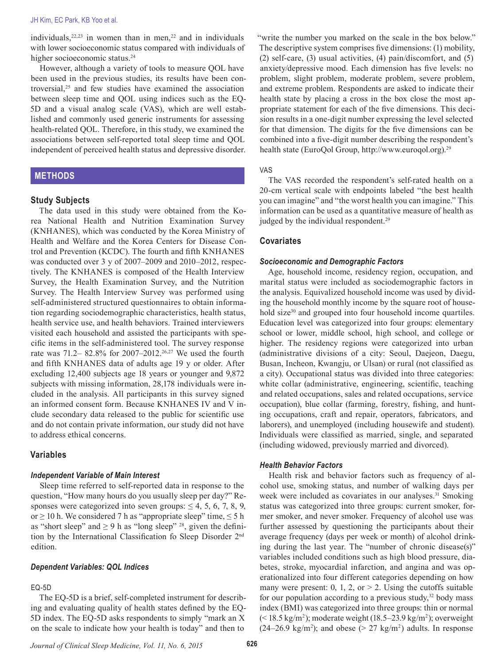#### JH Kim, EC Park, KB Yoo et al.

individuals,  $22,23$  in women than in men,  $22$  and in individuals with lower socioeconomic status compared with individuals of higher socioeconomic status.<sup>24</sup>

However, although a variety of tools to measure QOL have been used in the previous studies, its results have been controversial,25 and few studies have examined the association between sleep time and QOL using indices such as the EQ-5D and a visual analog scale (VAS), which are well established and commonly used generic instruments for assessing health-related QOL. Therefore, in this study, we examined the associations between self-reported total sleep time and QOL independent of perceived health status and depressive disorder.

# **METHODS**

### **Study Subjects**

The data used in this study were obtained from the Korea National Health and Nutrition Examination Survey (KNHANES), which was conducted by the Korea Ministry of Health and Welfare and the Korea Centers for Disease Control and Prevention (KCDC). The fourth and fifth KNHANES was conducted over 3 y of 2007–2009 and 2010–2012, respectively. The KNHANES is composed of the Health Interview Survey, the Health Examination Survey, and the Nutrition Survey. The Health Interview Survey was performed using self-administered structured questionnaires to obtain information regarding sociodemographic characteristics, health status, health service use, and health behaviors. Trained interviewers visited each household and assisted the participants with specific items in the self-administered tool. The survey response rate was 71.2-82.8% for 2007-2012.<sup>26,27</sup> We used the fourth and fifth KNHANES data of adults age 19 y or older. After excluding 12,400 subjects age 18 years or younger and 9,872 subjects with missing information, 28,178 individuals were included in the analysis. All participants in this survey signed an informed consent form. Because KNHANES IV and V include secondary data released to the public for scientific use and do not contain private information, our study did not have to address ethical concerns.

## **Variables**

#### *Independent Variable of Main Interest*

Sleep time referred to self-reported data in response to the question, "How many hours do you usually sleep per day?" Responses were categorized into seven groups:  $\leq 4$ , 5, 6, 7, 8, 9, or  $\geq$  10 h. We considered 7 h as "appropriate sleep" time,  $\leq$  5 h as "short sleep" and  $\geq$  9 h as "long sleep" <sup>28</sup>, given the definition by the International Classification fo Sleep Disorder 2nd edition.

## *Dependent Variables: QOL Indices*

## EQ-5D

The EQ-5D is a brief, self-completed instrument for describing and evaluating quality of health states defined by the EQ-5D index. The EQ-5D asks respondents to simply "mark an X on the scale to indicate how your health is today" and then to

"write the number you marked on the scale in the box below." The descriptive system comprises five dimensions: (1) mobility, (2) self-care, (3) usual activities, (4) pain/discomfort, and (5) anxiety/depressive mood. Each dimension has five levels: no problem, slight problem, moderate problem, severe problem, and extreme problem. Respondents are asked to indicate their health state by placing a cross in the box close the most appropriate statement for each of the five dimensions. This decision results in a one-digit number expressing the level selected for that dimension. The digits for the five dimensions can be combined into a five-digit number describing the respondent's health state (EuroQol Group, http://www.euroqol.org).29

#### VAS

The VAS recorded the respondent's self-rated health on a 20-cm vertical scale with endpoints labeled "the best health you can imagine" and "the worst health you can imagine." This information can be used as a quantitative measure of health as judged by the individual respondent.<sup>29</sup>

#### **Covariates**

#### *Socioeconomic and Demographic Factors*

Age, household income, residency region, occupation, and marital status were included as sociodemographic factors in the analysis. Equivalized household income was used by dividing the household monthly income by the square root of household size<sup>30</sup> and grouped into four household income quartiles. Education level was categorized into four groups: elementary school or lower, middle school, high school, and college or higher. The residency regions were categorized into urban (administrative divisions of a city: Seoul, Daejeon, Daegu, Busan, Incheon, Kwangju, or Ulsan) or rural (not classified as a city). Occupational status was divided into three categories: white collar (administrative, engineering, scientific, teaching and related occupations, sales and related occupations, service occupation), blue collar (farming, forestry, fishing, and hunting occupations, craft and repair, operators, fabricators, and laborers), and unemployed (including housewife and student). Individuals were classified as married, single, and separated (including widowed, previously married and divorced).

## *Health Behavior Factors*

Health risk and behavior factors such as frequency of alcohol use, smoking status, and number of walking days per week were included as covariates in our analyses.<sup>31</sup> Smoking status was categorized into three groups: current smoker, former smoker, and never smoker. Frequency of alcohol use was further assessed by questioning the participants about their average frequency (days per week or month) of alcohol drinking during the last year. The "number of chronic disease(s)" variables included conditions such as high blood pressure, diabetes, stroke, myocardial infarction, and angina and was operationalized into four different categories depending on how many were present: 0, 1, 2, or  $> 2$ . Using the cutoffs suitable for our population according to a previous study, $32$  body mass index (BMI) was categorized into three groups: thin or normal  $($  < 18.5 kg/m<sup>2</sup>); moderate weight (18.5–23.9 kg/m<sup>2</sup>); overweight  $(24-26.9 \text{ kg/m}^2)$ ; and obese (> 27 kg/m<sup>2</sup>) adults. In response

*Journal of Clinical Sleep Medicine, Vol. 11, No. 6, 2015* **626**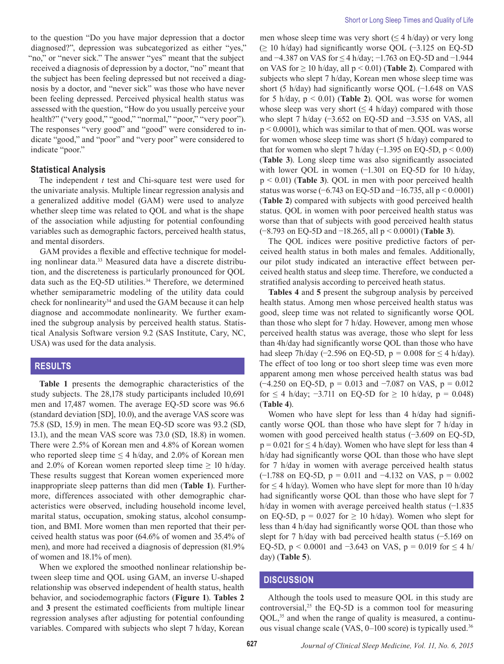to the question "Do you have major depression that a doctor diagnosed?", depression was subcategorized as either "yes," "no," or "never sick." The answer "yes" meant that the subject received a diagnosis of depression by a doctor, "no" meant that the subject has been feeling depressed but not received a diagnosis by a doctor, and "never sick" was those who have never been feeling depressed. Perceived physical health status was assessed with the question, "How do you usually perceive your health?" ("very good," "good," "normal," "poor," "very poor"). The responses "very good" and "good" were considered to indicate "good," and "poor" and "very poor" were considered to indicate "poor."

## **Statistical Analysis**

The independent *t* test and Chi-square test were used for the univariate analysis. Multiple linear regression analysis and a generalized additive model (GAM) were used to analyze whether sleep time was related to QOL and what is the shape of the association while adjusting for potential confounding variables such as demographic factors, perceived health status, and mental disorders.

GAM provides a flexible and effective technique for modeling nonlinear data.<sup>33</sup> Measured data have a discrete distribution, and the discreteness is particularly pronounced for QOL data such as the EQ-5D utilities.<sup>34</sup> Therefore, we determined whether semiparametric modeling of the utility data could check for nonlinearity<sup>34</sup> and used the GAM because it can help diagnose and accommodate nonlinearity. We further examined the subgroup analysis by perceived health status. Statistical Analysis Software version 9.2 (SAS Institute, Cary, NC, USA) was used for the data analysis.

# **RESULTS**

**Table 1** presents the demographic characteristics of the study subjects. The 28,178 study participants included 10,691 men and 17,487 women. The average EQ-5D score was 96.6 (standard deviation [SD], 10.0), and the average VAS score was 75.8 (SD, 15.9) in men. The mean EQ-5D score was 93.2 (SD, 13.1), and the mean VAS score was 73.0 (SD, 18.8) in women. There were 2.5% of Korean men and 4.8% of Korean women who reported sleep time  $\leq$  4 h/day, and 2.0% of Korean men and 2.0% of Korean women reported sleep time  $\geq$  10 h/day. These results suggest that Korean women experienced more inappropriate sleep patterns than did men (**Table 1**). Furthermore, differences associated with other demographic characteristics were observed, including household income level, marital status, occupation, smoking status, alcohol consumption, and BMI. More women than men reported that their perceived health status was poor (64.6% of women and 35.4% of men), and more had received a diagnosis of depression (81.9% of women and 18.1% of men).

When we explored the smoothed nonlinear relationship between sleep time and QOL using GAM, an inverse U-shaped relationship was observed independent of health status, health behavior, and sociodemographic factors (**Figure 1**). **Tables 2** and **3** present the estimated coefficients from multiple linear regression analyses after adjusting for potential confounding variables. Compared with subjects who slept 7 h/day, Korean

men whose sleep time was very short  $(\leq 4 \text{ h/day})$  or very long (≥ 10 h/day) had significantly worse QOL (−3.125 on EQ-5D and −4.387 on VAS for ≤ 4 h/day; −1.763 on EQ-5D and −1.944 on VAS for  $\geq 10$  h/day, all  $p < 0.01$ ) (**Table 2**). Compared with subjects who slept 7 h/day, Korean men whose sleep time was short (5 h/day) had significantly worse QOL (−1.648 on VAS for 5 h/day,  $p < 0.01$ ) (**Table 2**). QOL was worse for women whose sleep was very short ( $\leq$  4 h/day) compared with those who slept 7 h/day (−3.652 on EQ-5D and −3.535 on VAS, all p < 0.0001), which was similar to that of men. QOL was worse for women whose sleep time was short (5 h/day) compared to that for women who slept 7 h/day  $(-1.395 \text{ on } EQ-5D, p \le 0.00)$ (**Table 3**). Long sleep time was also significantly associated with lower QOL in women (−1.301 on EQ-5D for 10 h/day, p < 0.01) (**Table 3**). QOL in men with poor perceived health status was worse (−6.743 on EQ-5D and −16.735, all  $p < 0.0001$ ) (**Table 2**) compared with subjects with good perceived health status. QOL in women with poor perceived health status was worse than that of subjects with good perceived health status (−8.793 on EQ-5D and −18.265, all p < 0.0001) (**Table 3**).

The QOL indices were positive predictive factors of perceived health status in both males and females. Additionally, our pilot study indicated an interactive effect between perceived health status and sleep time. Therefore, we conducted a stratified analysis according to perceived heath status.

**Tables 4** and **5** present the subgroup analysis by perceived health status. Among men whose perceived health status was good, sleep time was not related to significantly worse QOL than those who slept for 7 h/day. However, among men whose perceived health status was average, those who slept for less than 4h/day had significantly worse QOL than those who have had sleep 7h/day (−2.596 on EQ-5D, p *=* 0.008 for ≤ 4 h/day). The effect of too long or too short sleep time was even more apparent among men whose perceived health status was bad  $(-4.250 \text{ on } EQ-5D, p = 0.013 \text{ and } -7.087 \text{ on } VAS, p = 0.012$ for  $\leq$  4 h/day;  $-3.711$  on EQ-5D for  $\geq$  10 h/day, p = 0.048) (**Table 4**).

Women who have slept for less than 4 h/day had significantly worse QOL than those who have slept for 7 h/day in women with good perceived health status (−3.609 on EQ-5D,  $p = 0.021$  for  $\leq$  4 h/day). Women who have slept for less than 4 h/day had significantly worse QOL than those who have slept for 7 h/day in women with average perceived health status ( $-1.788$  on EQ-5D, p = 0.011 and  $-4.132$  on VAS, p = 0.002 for  $\leq$  4 h/day). Women who have slept for more than 10 h/day had significantly worse QOL than those who have slept for 7 h/day in women with average perceived health status (−1.835) on EQ-5D,  $p = 0.027$  for  $\geq 10$  h/day). Women who slept for less than 4 h/day had significantly worse QOL than those who slept for 7 h/day with bad perceived health status (−5.169 on EQ-5D,  $p < 0.0001$  and  $-3.643$  on VAS,  $p = 0.019$  for  $\leq 4$  h/ day) (**Table 5**).

# **DISCUSSION**

Although the tools used to measure QOL in this study are controversial,<sup>25</sup> the EQ-5D is a common tool for measuring QOL,35 and when the range of quality is measured, a continuous visual change scale (VAS, 0–100 score) is typically used.36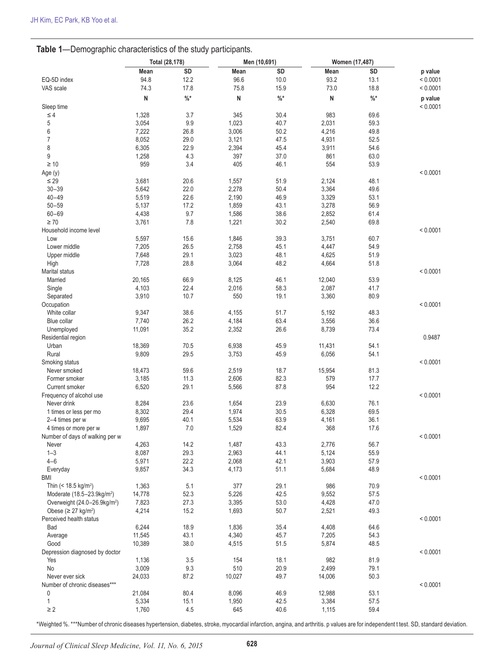# **Table 1**—Demographic characteristics of the study participants.

|                                          | Total (28,178) |      |        | Men (10,691) | Women (17,487) |                 |          |
|------------------------------------------|----------------|------|--------|--------------|----------------|-----------------|----------|
|                                          | Mean           | SD   | Mean   | SD           | Mean           | SD              | p value  |
| EQ-5D index                              | 94.8           | 12.2 | 96.6   | 10.0         | 93.2           | 13.1            | < 0.0001 |
| VAS scale                                | 74.3           | 17.8 | 75.8   | 15.9         | 73.0           | 18.8            | < 0.0001 |
|                                          | N              | $\%$ | N      | $\%$         | N              | $\frac{9}{6}$ * | p value  |
| Sleep time                               |                |      |        |              |                |                 | < 0.0001 |
| $\leq 4$                                 | 1,328          | 3.7  | 345    | 30.4         | 983            | 69.6            |          |
| 5                                        | 3,054          | 9.9  | 1,023  | 40.7         | 2,031          | 59.3            |          |
| 6                                        | 7,222          | 26.8 | 3,006  | 50.2         | 4,216          | 49.8            |          |
| $\overline{7}$                           | 8,052          | 29.0 | 3,121  | 47.5         | 4,931          | 52.5            |          |
| 8                                        | 6,305          | 22.9 | 2,394  | 45.4         | 3,911          | 54.6            |          |
| 9                                        | 1,258          | 4.3  | 397    | 37.0         | 861            | 63.0            |          |
| $\geq 10$                                | 959            | 3.4  | 405    | 46.1         | 554            | 53.9            |          |
| Age (y)                                  |                |      |        |              |                |                 | < 0.0001 |
| $\leq 29$                                | 3,681          | 20.6 | 1,557  | 51.9         | 2,124          | 48.1            |          |
| $30 - 39$                                | 5,642          | 22.0 | 2,278  | 50.4         | 3,364          | 49.6            |          |
| $40 - 49$                                | 5,519          | 22.6 | 2,190  | 46.9         | 3,329          | 53.1            |          |
| $50 - 59$                                | 5,137          | 17.2 | 1,859  |              |                | 56.9            |          |
|                                          |                |      |        | 43.1         | 3,278          |                 |          |
| $60 - 69$<br>$\geq 70$                   | 4,438          | 9.7  | 1,586  | 38.6         | 2,852          | 61.4            |          |
|                                          | 3,761          | 7.8  | 1,221  | 30.2         | 2,540          | 69.8            |          |
| Household income level                   |                |      |        |              |                |                 | < 0.0001 |
| Low                                      | 5,597          | 15.6 | 1,846  | 39.3         | 3,751          | 60.7            |          |
| Lower middle                             | 7,205          | 26.5 | 2,758  | 45.1         | 4,447          | 54.9            |          |
| Upper middle                             | 7,648          | 29.1 | 3,023  | 48.1         | 4,625          | 51.9            |          |
| High                                     | 7,728          | 28.8 | 3,064  | 48.2         | 4,664          | 51.8            |          |
| <b>Marital status</b>                    |                |      |        |              |                |                 | < 0.0001 |
| Married                                  | 20,165         | 66.9 | 8,125  | 46.1         | 12,040         | 53.9            |          |
| Single                                   | 4,103          | 22.4 | 2,016  | 58.3         | 2,087          | 41.7            |          |
| Separated                                | 3,910          | 10.7 | 550    | 19.1         | 3,360          | 80.9            |          |
| Occupation                               |                |      |        |              |                |                 | < 0.0001 |
| White collar                             | 9,347          | 38.6 | 4,155  | 51.7         | 5,192          | 48.3            |          |
| Blue collar                              | 7,740          | 26.2 | 4,184  | 63.4         | 3,556          | 36.6            |          |
| Unemployed                               | 11,091         | 35.2 | 2,352  | 26.6         | 8,739          | 73.4            |          |
| Residential region                       |                |      |        |              |                |                 | 0.9487   |
| Urban                                    | 18,369         | 70.5 | 6,938  | 45.9         | 11,431         | 54.1            |          |
| Rural                                    | 9,809          | 29.5 | 3,753  | 45.9         | 6,056          | 54.1            |          |
| Smoking status                           |                |      |        |              |                |                 | < 0.0001 |
| Never smoked                             | 18,473         | 59.6 | 2,519  | 18.7         | 15,954         | 81.3            |          |
| Former smoker                            | 3,185          | 11.3 | 2,606  | 82.3         | 579            | 17.7            |          |
| Current smoker                           | 6,520          | 29.1 | 5,566  | 87.8         | 954            | 12.2            |          |
| Frequency of alcohol use                 |                |      |        |              |                |                 | < 0.0001 |
| Never drink                              | 8,284          | 23.6 | 1,654  | 23.9         | 6,630          | 76.1            |          |
| 1 times or less per mo                   | 8,302          | 29.4 | 1,974  | 30.5         | 6,328          | 69.5            |          |
| 2-4 times per w                          | 9,695          | 40.1 | 5,534  | 63.9         | 4,161          | 36.1            |          |
| 4 times or more per w                    | 1,897          | 7.0  | 1,529  | 82.4         | 368            | 17.6            |          |
| Number of days of walking per w          |                |      |        |              |                |                 | < 0.0001 |
| Never                                    | 4,263          | 14.2 | 1,487  | 43.3         | 2,776          | 56.7            |          |
| $1 - 3$                                  | 8,087          | 29.3 | 2,963  | 44.1         | 5,124          | 55.9            |          |
| $4 - 6$                                  | 5,971          | 22.2 | 2,068  | 42.1         | 3,903          | 57.9            |          |
| Everyday                                 | 9,857          | 34.3 | 4,173  | 51.1         | 5,684          | 48.9            |          |
| BMI                                      |                |      |        |              |                |                 | < 0.0001 |
| Thin (< 18.5 kg/m <sup>2</sup> )         | 1,363          | 5.1  | 377    | 29.1         | 986            | 70.9            |          |
| Moderate (18.5-23.9kg/m <sup>2</sup> )   | 14,778         | 52.3 | 5,226  | 42.5         | 9,552          | 57.5            |          |
| Overweight (24.0-26.9kg/m <sup>2</sup> ) | 7,823          | 27.3 | 3,395  | 53.0         | 4,428          | 47.0            |          |
| Obese ( $\geq$ 27 kg/m <sup>2</sup> )    | 4,214          | 15.2 | 1,693  | 50.7         | 2,521          | 49.3            |          |
| Perceived health status                  |                |      |        |              |                |                 | < 0.0001 |
| Bad                                      | 6,244          | 18.9 | 1,836  | 35.4         | 4,408          | 64.6            |          |
| Average                                  | 11,545         | 43.1 | 4,340  | 45.7         | 7,205          | 54.3            |          |
| Good                                     | 10,389         | 38.0 |        | 51.5         | 5,874          | 48.5            |          |
|                                          |                |      | 4,515  |              |                |                 | < 0.0001 |
| Depression diagnosed by doctor           |                |      |        |              |                |                 |          |
| Yes                                      | 1,136          | 3.5  | 154    | 18.1         | 982            | 81.9            |          |
| No                                       | 3,009          | 9.3  | 510    | 20.9         | 2,499          | 79.1            |          |
| Never ever sick                          | 24,033         | 87.2 | 10,027 | 49.7         | 14,006         | 50.3            |          |
| Number of chronic diseases***            |                |      |        |              |                |                 | < 0.0001 |
| 0                                        | 21,084         | 80.4 | 8,096  | 46.9         | 12,988         | 53.1            |          |
| 1                                        | 5,334          | 15.1 | 1,950  | 42.5         | 3,384          | 57.5            |          |
| $\geq 2$                                 | 1,760          | 4.5  | 645    | 40.6         | 1,115          | 59.4            |          |

\*Weighted %. \*\*\*Number of chronic diseases hypertension, diabetes, stroke, myocardial infarction, angina, and arthritis. p values are for independent t test. SD, standard deviation.

*Journal of Clinical Sleep Medicine, Vol. 11, No. 6, 2015* **628**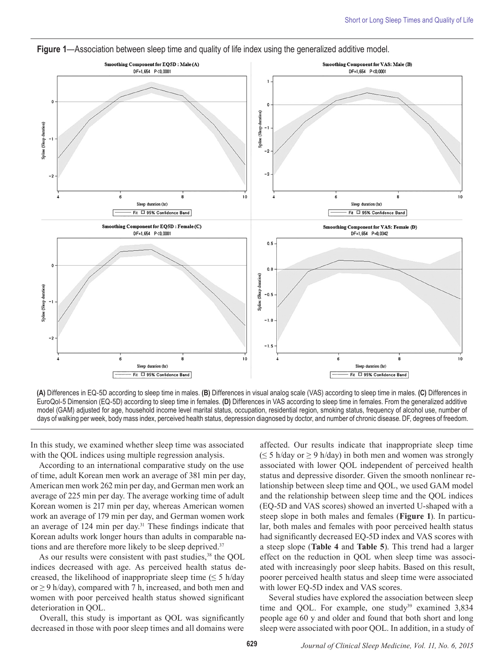

**Figure 1**—Association between sleep time and quality of life index using the generalized additive model.

**(A)** Differences in EQ-5D according to sleep time in males. **(B)** Differences in visual analog scale (VAS) according to sleep time in males. **(C)** Differences in EuroQol-5 Dimension (EQ-5D) according to sleep time in females. **(D)** Differences in VAS according to sleep time in females. From the generalized additive model (GAM) adjusted for age, household income level marital status, occupation, residential region, smoking status, frequency of alcohol use, number of days of walking per week, body mass index, perceived health status, depression diagnosed by doctor, and number of chronic disease. DF, degrees of freedom.

In this study, we examined whether sleep time was associated with the QOL indices using multiple regression analysis.

According to an international comparative study on the use of time, adult Korean men work an average of 381 min per day, American men work 262 min per day, and German men work an average of 225 min per day. The average working time of adult Korean women is 217 min per day, whereas American women work an average of 179 min per day, and German women work an average of 124 min per day.31 These findings indicate that Korean adults work longer hours than adults in comparable nations and are therefore more likely to be sleep deprived.<sup>37</sup>

As our results were consistent with past studies,<sup>38</sup> the QOL indices decreased with age. As perceived health status decreased, the likelihood of inappropriate sleep time  $(\leq 5 \text{ h/day})$ or  $\geq$  9 h/day), compared with 7 h, increased, and both men and women with poor perceived health status showed significant deterioration in QOL.

Overall, this study is important as QOL was significantly decreased in those with poor sleep times and all domains were

affected. Our results indicate that inappropriate sleep time  $(\leq 5 \text{ h/day or} \geq 9 \text{ h/day})$  in both men and women was strongly associated with lower QOL independent of perceived health status and depressive disorder. Given the smooth nonlinear relationship between sleep time and QOL, we used GAM model and the relationship between sleep time and the QOL indices (EQ-5D and VAS scores) showed an inverted U-shaped with a steep slope in both males and females (**Figure 1**). In particular, both males and females with poor perceived health status had significantly decreased EQ-5D index and VAS scores with a steep slope (**Table 4** and **Table 5**). This trend had a larger effect on the reduction in QOL when sleep time was associated with increasingly poor sleep habits. Based on this result, poorer perceived health status and sleep time were associated with lower EQ-5D index and VAS scores.

Several studies have explored the association between sleep time and QOL. For example, one study<sup>39</sup> examined 3,834 people age 60 y and older and found that both short and long sleep were associated with poor QOL. In addition, in a study of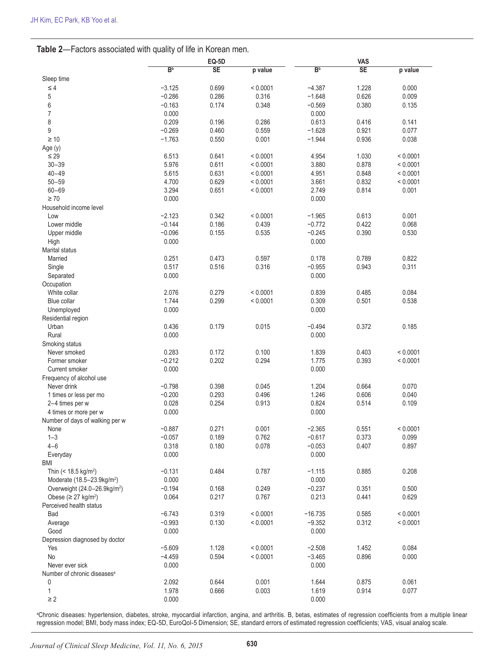|                                          |                | <b>EQ-5D</b> |          |                | VAS                    |          |  |  |
|------------------------------------------|----------------|--------------|----------|----------------|------------------------|----------|--|--|
|                                          | B <sub>p</sub> | <b>SE</b>    | p value  | B <sub>p</sub> | $\overline{\text{SE}}$ | p value  |  |  |
| Sleep time                               |                |              |          |                |                        |          |  |  |
| $\leq 4$                                 | $-3.125$       | 0.699        | < 0.0001 | $-4.387$       | 1.228                  | 0.000    |  |  |
| 5                                        | $-0.286$       | 0.286        | 0.316    | $-1.648$       | 0.626                  | 0.009    |  |  |
| 6                                        | $-0.163$       | 0.174        | 0.348    | $-0.569$       | 0.380                  | 0.135    |  |  |
| $\overline{7}$                           | 0.000          |              |          | 0.000          |                        |          |  |  |
| 8                                        | 0.209          | 0.196        | 0.286    | 0.613          | 0.416                  | 0.141    |  |  |
| 9                                        | $-0.269$       | 0.460        | 0.559    | $-1.628$       | 0.921                  | 0.077    |  |  |
| $\geq 10$                                | $-1.763$       | 0.550        | 0.001    | $-1.944$       | 0.936                  | 0.038    |  |  |
| Age (y)                                  |                |              |          |                |                        |          |  |  |
| $\leq 29$                                | 6.513          | 0.641        | < 0.0001 | 4.954          | 1.030                  | < 0.0001 |  |  |
| $30 - 39$                                | 5.976          | 0.611        | < 0.0001 | 3.880          | 0.878                  | < 0.0001 |  |  |
| $40 - 49$                                | 5.615          | 0.631        | < 0.0001 | 4.951          | 0.848                  | < 0.0001 |  |  |
| $50 - 59$                                | 4.700          | 0.629        | < 0.0001 | 3.661          | 0.832                  | < 0.0001 |  |  |
| $60 - 69$                                | 3.294          | 0.651        | < 0.0001 | 2.749          | 0.814                  | 0.001    |  |  |
| $\geq 70$                                | 0.000          |              |          | 0.000          |                        |          |  |  |
| Household income level                   |                |              |          |                |                        |          |  |  |
| Low                                      | $-2.123$       | 0.342        | < 0.0001 | $-1.965$       | 0.613                  | 0.001    |  |  |
| Lower middle                             | $-0.144$       | 0.186        | 0.439    | $-0.772$       | 0.422                  | 0.068    |  |  |
| Upper middle                             | $-0.096$       | 0.155        | 0.535    | $-0.245$       | 0.390                  | 0.530    |  |  |
| High                                     | 0.000          |              |          | 0.000          |                        |          |  |  |
| Marital status                           |                |              |          |                |                        |          |  |  |
| Married                                  | 0.251          | 0.473        | 0.597    | 0.178          | 0.789                  | 0.822    |  |  |
| Single                                   | 0.517          | 0.516        | 0.316    | $-0.955$       | 0.943                  | 0.311    |  |  |
| Separated                                | 0.000          |              |          | 0.000          |                        |          |  |  |
| Occupation                               |                |              |          |                |                        |          |  |  |
| White collar                             | 2.076          | 0.279        | < 0.0001 | 0.839          | 0.485                  | 0.084    |  |  |
| Blue collar                              | 1.744          | 0.299        | < 0.0001 | 0.309          | 0.501                  | 0.538    |  |  |
| Unemployed                               | 0.000          |              |          | 0.000          |                        |          |  |  |
| Residential region                       |                |              |          |                |                        |          |  |  |
| Urban                                    | 0.436          | 0.179        | 0.015    | $-0.494$       | 0.372                  | 0.185    |  |  |
| Rural                                    | 0.000          |              |          | 0.000          |                        |          |  |  |
| Smoking status                           |                |              |          |                |                        |          |  |  |
| Never smoked                             | 0.283          | 0.172        | 0.100    | 1.839          | 0.403                  | < 0.0001 |  |  |
| Former smoker                            | $-0.212$       | 0.202        | 0.294    | 1.775          | 0.393                  | < 0.0001 |  |  |
| Current smoker                           | 0.000          |              |          | 0.000          |                        |          |  |  |
| Frequency of alcohol use                 |                |              |          |                |                        |          |  |  |
| Never drink                              | $-0.798$       | 0.398        | 0.045    | 1.204          | 0.664                  | 0.070    |  |  |
| 1 times or less per mo                   | $-0.200$       | 0.293        | 0.496    | 1.246          | 0.606                  | 0.040    |  |  |
| 2-4 times per w                          | 0.028          | 0.254        | 0.913    | 0.824          | 0.514                  | 0.109    |  |  |
| 4 times or more per w                    | 0.000          |              |          | 0.000          |                        |          |  |  |
| Number of days of walking per w          |                |              |          |                |                        |          |  |  |
| None                                     | $-0.887$       | 0.271        | 0.001    | $-2.365$       | 0.551                  | < 0.0001 |  |  |
| $1 - 3$                                  | $-0.057$       | 0.189        | 0.762    | $-0.617$       | 0.373                  | 0.099    |  |  |
| $4 - 6$                                  | 0.318          | 0.180        | 0.078    | $-0.053$       | 0.407                  | 0.897    |  |  |
| Everyday                                 | 0.000          |              |          | 0.000          |                        |          |  |  |
| <b>BMI</b>                               |                |              |          |                |                        |          |  |  |
| Thin $(< 18.5 \text{ kg/m}^2)$           | $-0.131$       | 0.484        | 0.787    | $-1.115$       | 0.885                  | 0.208    |  |  |
| Moderate (18.5-23.9kg/m <sup>2</sup> )   | 0.000          |              |          | 0.000          |                        |          |  |  |
| Overweight (24.0-26.9kg/m <sup>2</sup> ) | $-0.194$       | 0.168        | 0.249    | $-0.237$       | 0.351                  | 0.500    |  |  |
| Obese ( $\geq$ 27 kg/m <sup>2</sup> )    | 0.064          | 0.217        | 0.767    | 0.213          | 0.441                  | 0.629    |  |  |
| Perceived health status                  |                |              |          |                |                        |          |  |  |
| Bad                                      | $-6.743$       | 0.319        | < 0.0001 | $-16.735$      | 0.585                  | < 0.0001 |  |  |
| Average                                  | $-0.993$       | 0.130        | < 0.0001 | $-9.352$       | 0.312                  | < 0.0001 |  |  |
| Good                                     | 0.000          |              |          | 0.000          |                        |          |  |  |
| Depression diagnosed by doctor           |                |              |          |                |                        |          |  |  |
| Yes                                      | $-5.609$       | 1.128        | < 0.0001 | $-2.508$       | 1.452                  | 0.084    |  |  |
| No                                       | $-4.459$       | 0.594        | < 0.0001 | $-3.465$       | 0.896                  | 0.000    |  |  |
| Never ever sick                          | 0.000          |              |          | 0.000          |                        |          |  |  |
| Number of chronic diseases <sup>a</sup>  |                |              |          |                |                        |          |  |  |
| 0                                        | 2.092          | 0.644        | 0.001    | 1.644          | 0.875                  | 0.061    |  |  |
| 1                                        | 1.978          | 0.666        | 0.003    | 1.619          | 0.914                  | 0.077    |  |  |
| $\geq 2$                                 | 0.000          |              |          | 0.000          |                        |          |  |  |

a Chronic diseases: hypertension, diabetes, stroke, myocardial infarction, angina, and arthritis. B, betas, estimates of regression coefficients from a multiple linear regression model; BMI, body mass index; EQ-5D, EuroQol-5 Dimension; SE, standard errors of estimated regression coefficients; VAS, visual analog scale.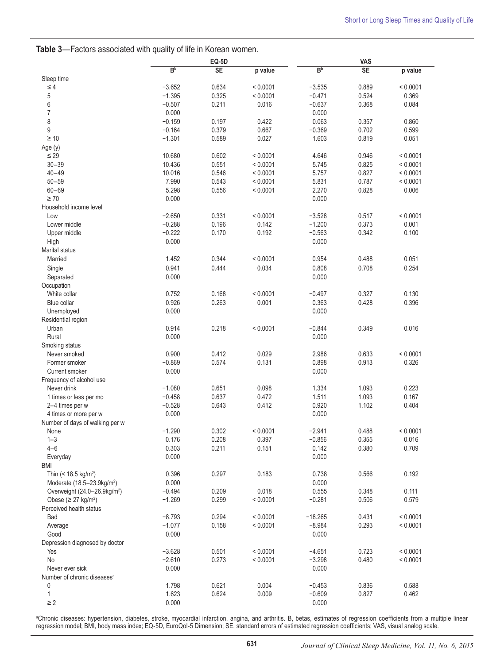|                                          |                   | <b>EQ-5D</b>   |                   |                      | <b>VAS</b>     |                   |  |  |
|------------------------------------------|-------------------|----------------|-------------------|----------------------|----------------|-------------------|--|--|
|                                          | B <sub>p</sub>    | <b>SE</b>      | p value           | B <sub>p</sub>       | <b>SE</b>      | p value           |  |  |
| Sleep time                               |                   |                |                   |                      |                |                   |  |  |
| $\leq 4$                                 | $-3.652$          | 0.634          | < 0.0001          | $-3.535$             | 0.889          | < 0.0001          |  |  |
| 5                                        | $-1.395$          | 0.325          | < 0.0001          | $-0.471$             | 0.524          | 0.369             |  |  |
| 6                                        | $-0.507$          | 0.211          | 0.016             | $-0.637$             | 0.368          | 0.084             |  |  |
| $\overline{7}$                           | 0.000             |                |                   | 0.000                |                |                   |  |  |
| 8                                        | $-0.159$          | 0.197          | 0.422             | 0.063                | 0.357          | 0.860             |  |  |
| 9                                        | $-0.164$          | 0.379          | 0.667             | $-0.369$             | 0.702          | 0.599             |  |  |
| $\geq 10$                                | $-1.301$          | 0.589          | 0.027             | 1.603                | 0.819          | 0.051             |  |  |
| Age (y)<br>$\leq 29$                     | 10.680            | 0.602          | < 0.0001          | 4.646                | 0.946          | < 0.0001          |  |  |
| $30 - 39$                                | 10.436            | 0.551          | < 0.0001          | 5.745                | 0.825          | < 0.0001          |  |  |
| $40 - 49$                                | 10.016            | 0.546          | < 0.0001          | 5.757                | 0.827          | < 0.0001          |  |  |
| $50 - 59$                                | 7.990             | 0.543          | < 0.0001          | 5.831                | 0.787          | < 0.0001          |  |  |
| $60 - 69$                                | 5.298             | 0.556          | < 0.0001          | 2.270                | 0.828          | 0.006             |  |  |
| $\geq 70$                                | 0.000             |                |                   | 0.000                |                |                   |  |  |
| Household income level                   |                   |                |                   |                      |                |                   |  |  |
| Low                                      | $-2.650$          | 0.331          | < 0.0001          | $-3.528$             | 0.517          | < 0.0001          |  |  |
| Lower middle                             | $-0.288$          | 0.196          | 0.142             | $-1.200$             | 0.373          | 0.001             |  |  |
| Upper middle                             | $-0.222$          | 0.170          | 0.192             | $-0.563$             | 0.342          | 0.100             |  |  |
| High                                     | 0.000             |                |                   | 0.000                |                |                   |  |  |
| <b>Marital status</b>                    |                   |                |                   |                      |                |                   |  |  |
| Married                                  | 1.452             | 0.344          | < 0.0001          | 0.954                | 0.488          | 0.051             |  |  |
| Single                                   | 0.941             | 0.444          | 0.034             | 0.808                | 0.708          | 0.254             |  |  |
| Separated                                | 0.000             |                |                   | 0.000                |                |                   |  |  |
| Occupation                               |                   |                |                   |                      |                |                   |  |  |
| White collar                             | 0.752             | 0.168          | < 0.0001          | $-0.497$             | 0.327          | 0.130             |  |  |
| Blue collar                              | 0.926             | 0.263          | 0.001             | 0.363                | 0.428          | 0.396             |  |  |
| Unemployed                               | 0.000             |                |                   | 0.000                |                |                   |  |  |
| Residential region                       |                   |                |                   |                      |                |                   |  |  |
| Urban                                    | 0.914             | 0.218          | < 0.0001          | $-0.844$             | 0.349          | 0.016             |  |  |
| Rural                                    | 0.000             |                |                   | 0.000                |                |                   |  |  |
| Smoking status                           |                   |                |                   |                      |                |                   |  |  |
| Never smoked                             | 0.900             | 0.412          | 0.029             | 2.986                | 0.633          | < 0.0001          |  |  |
| Former smoker                            | $-0.869$          | 0.574          | 0.131             | 0.898                | 0.913          | 0.326             |  |  |
| Current smoker                           | 0.000             |                |                   | 0.000                |                |                   |  |  |
| Frequency of alcohol use                 |                   |                |                   |                      |                |                   |  |  |
| Never drink                              | $-1.080$          | 0.651          | 0.098             | 1.334                | 1.093          | 0.223             |  |  |
| 1 times or less per mo                   | $-0.458$          | 0.637          | 0.472             | 1.511                | 1.093          | 0.167             |  |  |
| 2-4 times per w                          | $-0.528$          | 0.643          | 0.412             | 0.920                | 1.102          | 0.404             |  |  |
| 4 times or more per w                    | 0.000             |                |                   | 0.000                |                |                   |  |  |
| Number of days of walking per w          |                   |                |                   |                      |                |                   |  |  |
| None<br>$1 - 3$                          | $-1.290$<br>0.176 | 0.302<br>0.208 | < 0.0001<br>0.397 | $-2.941$<br>$-0.856$ | 0.488<br>0.355 | < 0.0001<br>0.016 |  |  |
| $4 - 6$                                  | 0.303             | 0.211          | 0.151             | 0.142                | 0.380          | 0.709             |  |  |
| Everyday                                 | 0.000             |                |                   | 0.000                |                |                   |  |  |
| BMI                                      |                   |                |                   |                      |                |                   |  |  |
| Thin (< 18.5 kg/m <sup>2</sup> )         | 0.396             | 0.297          | 0.183             | 0.738                | 0.566          | 0.192             |  |  |
| Moderate (18.5-23.9kg/m <sup>2</sup> )   | 0.000             |                |                   | 0.000                |                |                   |  |  |
| Overweight (24.0-26.9kg/m <sup>2</sup> ) | $-0.494$          | 0.209          | 0.018             | 0.555                | 0.348          | 0.111             |  |  |
| Obese ( $\geq$ 27 kg/m <sup>2</sup> )    | $-1.269$          | 0.299          | < 0.0001          | $-0.281$             | 0.506          | 0.579             |  |  |
| Perceived health status                  |                   |                |                   |                      |                |                   |  |  |
| Bad                                      | $-8.793$          | 0.294          | < 0.0001          | $-18.265$            | 0.431          | < 0.0001          |  |  |
| Average                                  | $-1.077$          | 0.158          | < 0.0001          | $-8.984$             | 0.293          | < 0.0001          |  |  |
| Good                                     | 0.000             |                |                   | 0.000                |                |                   |  |  |
| Depression diagnosed by doctor           |                   |                |                   |                      |                |                   |  |  |
| Yes                                      | $-3.628$          | 0.501          | < 0.0001          | $-4.651$             | 0.723          | < 0.0001          |  |  |
| No                                       | $-2.610$          | 0.273          | < 0.0001          | $-3.298$             | 0.480          | < 0.0001          |  |  |
| Never ever sick                          | 0.000             |                |                   | 0.000                |                |                   |  |  |
| Number of chronic diseases <sup>a</sup>  |                   |                |                   |                      |                |                   |  |  |
| 0                                        | 1.798             | 0.621          | 0.004             | $-0.453$             | 0.836          | 0.588             |  |  |
| 1                                        | 1.623             | 0.624          | 0.009             | $-0.609$             | 0.827          | 0.462             |  |  |
| $\geq 2$                                 | 0.000             |                |                   | 0.000                |                |                   |  |  |

a Chronic diseases: hypertension, diabetes, stroke, myocardial infarction, angina, and arthritis. B, betas, estimates of regression coefficients from a multiple linear regression model; BMI, body mass index; EQ-5D, EuroQol-5 Dimension; SE, standard errors of estimated regression coefficients; VAS, visual analog scale.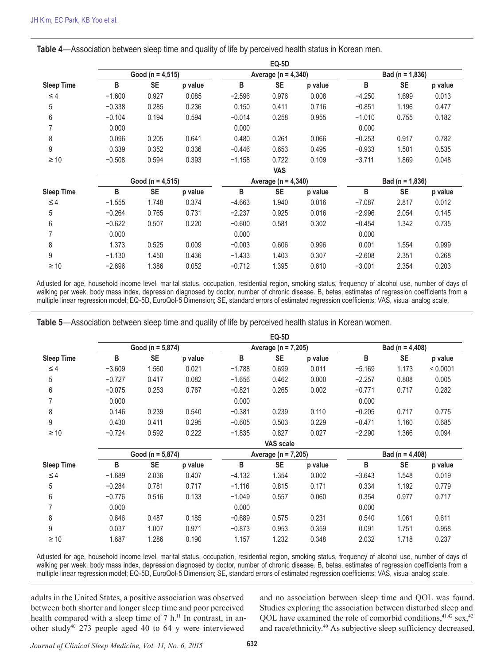|                   | ⊨ພະບ                 |                      |         |                         |                         |         |                     |                     |         |  |
|-------------------|----------------------|----------------------|---------|-------------------------|-------------------------|---------|---------------------|---------------------|---------|--|
|                   | Good ( $n = 4,515$ ) |                      |         | Average ( $n = 4,340$ ) |                         |         | Bad ( $n = 1,836$ ) |                     |         |  |
| <b>Sleep Time</b> | В                    | <b>SE</b>            | p value | в                       | <b>SE</b>               | p value | в                   | <b>SE</b>           | p value |  |
| $\leq 4$          | $-1.600$             | 0.927                | 0.085   | $-2.596$                | 0.976                   | 0.008   | $-4.250$            | 1.699               | 0.013   |  |
| 5                 | $-0.338$             | 0.285                | 0.236   | 0.150                   | 0.411                   | 0.716   | $-0.851$            | 1.196               | 0.477   |  |
| 6                 | $-0.104$             | 0.194                | 0.594   | $-0.014$                | 0.258                   | 0.955   | $-1.010$            | 0.755               | 0.182   |  |
|                   | 0.000                |                      |         | 0.000                   |                         |         | 0.000               |                     |         |  |
| 8                 | 0.096                | 0.205                | 0.641   | 0.480                   | 0.261                   | 0.066   | $-0.253$            | 0.917               | 0.782   |  |
| 9                 | 0.339                | 0.352                | 0.336   | $-0.446$                | 0.653                   | 0.495   | $-0.933$            | 1.501               | 0.535   |  |
| $\geq 10$         | $-0.508$             | 0.594                | 0.393   | $-1.158$                | 0.722                   | 0.109   | $-3.711$            | 1.869               | 0.048   |  |
|                   |                      |                      |         |                         | <b>VAS</b>              |         |                     |                     |         |  |
|                   |                      | Good ( $n = 4,515$ ) |         |                         | Average ( $n = 4,340$ ) |         |                     | Bad ( $n = 1,836$ ) |         |  |
| <b>Sleep Time</b> | B                    | <b>SE</b>            | p value | в                       | <b>SE</b>               | p value | в                   | <b>SE</b>           | p value |  |
| $\leq 4$          | $-1.555$             | 1.748                | 0.374   | $-4.663$                | 1.940                   | 0.016   | $-7.087$            | 2.817               | 0.012   |  |
| 5                 | $-0.264$             | 0.765                | 0.731   | $-2.237$                | 0.925                   | 0.016   | $-2.996$            | 2.054               | 0.145   |  |
| 6                 | $-0.622$             | 0.507                | 0.220   | $-0.600$                | 0.581                   | 0.302   | $-0.454$            | 1.342               | 0.735   |  |
|                   | 0.000                |                      |         | 0.000                   |                         |         | 0.000               |                     |         |  |
| 8                 | 1.373                | 0.525                | 0.009   | $-0.003$                | 0.606                   | 0.996   | 0.001               | 1.554               | 0.999   |  |
| 9                 | $-1.130$             | 1.450                | 0.436   | $-1.433$                | 1.403                   | 0.307   | $-2.608$            | 2.351               | 0.268   |  |
| $\geq 10$         | $-2.696$             | 1.386                | 0.052   | $-0.712$                | 1.395                   | 0.610   | $-3.001$            | 2.354               | 0.203   |  |

**EQ-5D** 

**Table 4**—Association between sleep time and quality of life by perceived health status in Korean men.

Adjusted for age, household income level, marital status, occupation, residential region, smoking status, frequency of alcohol use, number of days of walking per week, body mass index, depression diagnosed by doctor, number of chronic disease. B, betas, estimates of regression coefficients from a multiple linear regression model; EQ-5D, EuroQol-5 Dimension; SE, standard errors of estimated regression coefficients; VAS, visual analog scale.

**Table 5**—Association between sleep time and quality of life by perceived health status in Korean women.

|                   |                      |                  |         |                     | <b>EQ-5D</b> |         |                     |           |          |  |  |
|-------------------|----------------------|------------------|---------|---------------------|--------------|---------|---------------------|-----------|----------|--|--|
|                   | Good ( $n = 5,874$ ) |                  |         | Average (n = 7,205) |              |         | Bad ( $n = 4,408$ ) |           |          |  |  |
| <b>Sleep Time</b> | B                    | <b>SE</b>        | p value | B                   | <b>SE</b>    | p value | B                   | <b>SE</b> | p value  |  |  |
| $\leq 4$          | $-3.609$             | 1.560            | 0.021   | $-1.788$            | 0.699        | 0.011   | $-5.169$            | 1.173     | < 0.0001 |  |  |
| 5                 | $-0.727$             | 0.417            | 0.082   | $-1.656$            | 0.462        | 0.000   | $-2.257$            | 0.808     | 0.005    |  |  |
| 6                 | $-0.075$             | 0.253            | 0.767   | $-0.821$            | 0.265        | 0.002   | $-0.771$            | 0.717     | 0.282    |  |  |
|                   | 0.000                |                  |         | 0.000               |              |         | 0.000               |           |          |  |  |
| 8                 | 0.146                | 0.239            | 0.540   | $-0.381$            | 0.239        | 0.110   | $-0.205$            | 0.717     | 0.775    |  |  |
| 9                 | 0.430                | 0.411            | 0.295   | $-0.605$            | 0.503        | 0.229   | $-0.471$            | 1.160     | 0.685    |  |  |
| $\geq 10$         | $-0.724$             | 0.592            | 0.222   | $-1.835$            | 0.827        | 0.027   | $-2.290$            | 1.366     | 0.094    |  |  |
|                   |                      | <b>VAS</b> scale |         |                     |              |         |                     |           |          |  |  |
|                   | Good ( $n = 5,874$ ) |                  |         | Average (n = 7,205) |              |         | Bad ( $n = 4,408$ ) |           |          |  |  |
| <b>Sleep Time</b> | B                    | <b>SE</b>        | p value | B                   | <b>SE</b>    | p value | B                   | <b>SE</b> | p value  |  |  |
| $\leq 4$          | $-1.689$             | 2.036            | 0.407   | $-4.132$            | 1.354        | 0.002   | $-3.643$            | 1.548     | 0.019    |  |  |
| 5                 | $-0.284$             | 0.781            | 0.717   | $-1.116$            | 0.815        | 0.171   | 0.334               | 1.192     | 0.779    |  |  |
| 6                 | $-0.776$             | 0.516            | 0.133   | $-1.049$            | 0.557        | 0.060   | 0.354               | 0.977     | 0.717    |  |  |
|                   | 0.000                |                  |         | 0.000               |              |         | 0.000               |           |          |  |  |
| 8                 | 0.646                | 0.487            | 0.185   | $-0.689$            | 0.575        | 0.231   | 0.540               | 1.061     | 0.611    |  |  |
| 9                 | 0.037                | 1.007            | 0.971   | $-0.873$            | 0.953        | 0.359   | 0.091               | 1.751     | 0.958    |  |  |
| $\geq 10$         | 1.687                | 1.286            | 0.190   | 1.157               | 1.232        | 0.348   | 2.032               | 1.718     | 0.237    |  |  |

Adjusted for age, household income level, marital status, occupation, residential region, smoking status, frequency of alcohol use, number of days of walking per week, body mass index, depression diagnosed by doctor, number of chronic disease. B, betas, estimates of regression coefficients from a multiple linear regression model; EQ-5D, EuroQol-5 Dimension; SE, standard errors of estimated regression coefficients; VAS, visual analog scale.

adults in the United States, a positive association was observed between both shorter and longer sleep time and poor perceived health compared with a sleep time of  $7 h$ .<sup>11</sup> In contrast, in another study40 273 people aged 40 to 64 y were interviewed

and no association between sleep time and QOL was found. Studies exploring the association between disturbed sleep and QOL have examined the role of comorbid conditions, $41,42$  sex, $42$ and race/ethnicity.40 As subjective sleep sufficiency decreased,

*Journal of Clinical Sleep Medicine, Vol. 11, No. 6, 2015* **632**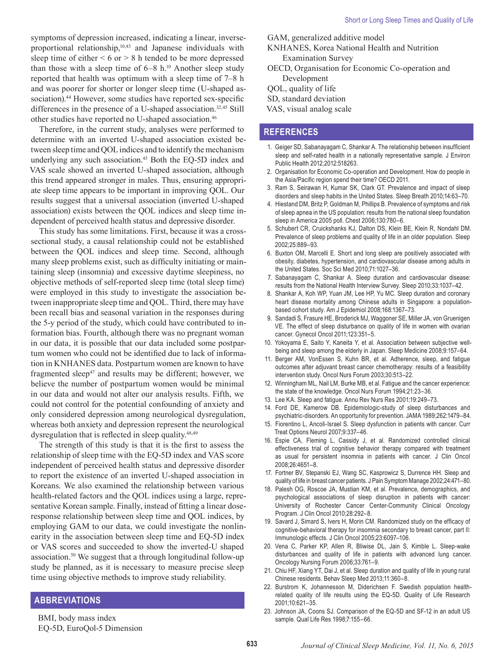Therefore, in the current study, analyses were performed to determine with an inverted U-shaped association existed between sleep time and QOL indices and to identify the mechanism underlying any such association.<sup>43</sup> Both the EQ-5D index and VAS scale showed an inverted U-shaped association, although this trend appeared stronger in males. Thus, ensuring appropriate sleep time appears to be important in improving QOL. Our results suggest that a universal association (inverted U-shaped association) exists between the QOL indices and sleep time independent of perceived health status and depressive disorder.

This study has some limitations. First, because it was a crosssectional study, a causal relationship could not be established between the QOL indices and sleep time. Second, although many sleep problems exist, such as difficulty initiating or maintaining sleep (insomnia) and excessive daytime sleepiness, no objective methods of self-reported sleep time (total sleep time) were employed in this study to investigate the association between inappropriate sleep time and QOL. Third, there may have been recall bias and seasonal variation in the responses during the 5-y period of the study, which could have contributed to information bias. Fourth, although there was no pregnant woman in our data, it is possible that our data included some postpartum women who could not be identified due to lack of information in KNHANES data. Postpartum women are known to have fragmented sleep<sup>47</sup> and results may be different; however, we believe the number of postpartum women would be minimal in our data and would not alter our analysis results. Fifth, we could not control for the potential confounding of anxiety and only considered depression among neurological dysregulation, whereas both anxiety and depression represent the neurological dysregulation that is reflected in sleep quality.48,49

The strength of this study is that it is the first to assess the relationship of sleep time with the EQ-5D index and VAS score independent of perceived health status and depressive disorder to report the existence of an inverted U-shaped association in Koreans. We also examined the relationship between various health-related factors and the QOL indices using a large, representative Korean sample. Finally, instead of fitting a linear doseresponse relationship between sleep time and QOL indices, by employing GAM to our data, we could investigate the nonlinearity in the association between sleep time and EQ-5D index or VAS scores and succeeded to show the inverted-U shaped association.50 We suggest that a through longitudinal follow-up study be planned, as it is necessary to measure precise sleep time using objective methods to improve study reliability.

## **ABBREVIATIONS**

BMI, body mass index EQ-5D, EuroQol-5 Dimension

- GAM, generalized additive model
- KNHANES, Korea National Health and Nutrition Examination Survey
- OECD, Organisation for Economic Co-operation and Development
- QOL, quality of life
- SD, standard deviation
- VAS, visual analog scale

## **REFERENCES**

- 1. Geiger SD, Sabanayagam C, Shankar A. The relationship between insufficient sleep and self-rated health in a nationally representative sample. J Environ Public Health 2012;2012:518263.
- 2. Organisation for Economic Co-operation and Development. How do people in the Asia/Pacific region spend their time? OECD 2011.
- 3. Ram S, Seirawan H, Kumar SK, Clark GT. Prevalence and impact of sleep disorders and sleep habits in the United States. Sleep Breath 2010;14:63–70.
- 4. Hiestand DM, Britz P, Goldman M, Phillips B. Prevalence of symptoms and risk of sleep apnea in the US population: results from the national sleep foundation sleep in America 2005 poll. Chest 2006;130:780–6.
- 5. Schubert CR, Cruickshanks KJ, Dalton DS, Klein BE, Klein R, Nondahl DM. Prevalence of sleep problems and quality of life in an older population. Sleep 2002;25:889–93.
- 6. Buxton OM, Marcelli E. Short and long sleep are positively associated with obesity, diabetes, hypertension, and cardiovascular disease among adults in the United States. Soc Sci Med 2010;71:1027–36.
- 7. Sabanayagam C, Shankar A. Sleep duration and cardiovascular disease: results from the National Health Interview Survey. Sleep 2010;33:1037–42.
- 8. Shankar A, Koh WP, Yuan JM, Lee HP, Yu MC. Sleep duration and coronary heart disease mortality among Chinese adults in Singapore: a populationbased cohort study. Am J Epidemiol 2008;168:1367–73.
- 9. Sandadi S, Frasure HE, Broderick MJ, Waggoner SE, Miller JA, von Gruenigen VE. The effect of sleep disturbance on quality of life in women with ovarian cancer. Gynecol Oncol 2011;123:351–5.
- 10. Yokoyama E, Saito Y, Kaneita Y, et al. Association between subjective wellbeing and sleep among the elderly in Japan. Sleep Medicine 2008;9:157–64.
- 11. Berger AM, VonEssen S, Kuhn BR, et al. Adherence, sleep, and fatigue outcomes after adjuvant breast cancer chemotherapy: results of a feasibility intervention study. Oncol Nurs Forum 2003;30:513–22.
- 12. Winningham ML, Nail LM, Burke MB, et al. Fatigue and the cancer experience: the state of the knowledge. Oncol Nurs Forum 1994;21:23–36.
- 13. Lee KA. Sleep and fatigue. Annu Rev Nurs Res 2001;19:249–73.
- 14. Ford DE, Kamerow DB. Epidemiologic-study of sleep disturbances and psychiatric-disorders. An opportunity for prevention. JAMA 1989;262:1479–84.
- 15. Fiorentino L, Ancoli-Israel S. Sleep dysfunction in patients with cancer. Curr Treat Options Neurol 2007;9:337–46.
- 16. Espie CA, Fleming L, Cassidy J, et al. Randomized controlled clinical effectiveness trial of cognitive behavior therapy compared with treatment as usual for persistent insomnia in patients with cancer. J Clin Oncol 2008;26:4651–8.
- 17. Fortner BV, Stepanski EJ, Wang SC, Kasprowicz S, Durrence HH. Sleep and quality of life in breast cancer patients. J Pain Symptom Manage 2002;24:471–80.
- 18. Palesh OG, Roscoe JA, Mustian KM, et al. Prevalence, demographics, and psychological associations of sleep disruption in patients with cancer: University of Rochester Cancer Center-Community Clinical Oncology Program. J Clin Oncol 2010;28:292–8.
- 19. Savard J, Simard S, Ivers H, Morin CM. Randomized study on the efficacy of cognitive-behavioral therapy for insomnia secondary to breast cancer, part II: Immunologic effects. J Clin Oncol 2005;23:6097–106.
- 20. Vena C, Parker KP, Allen R, Bliwise DL, Jain S, Kimble L. Sleep-wake disturbances and quality of life in patients with advanced lung cancer. Oncology Nursing Forum 2006;33:761–9.
- 21. Chiu HF, Xiang YT, Dai J, et al. Sleep duration and quality of life in young rural Chinese residents. Behav Sleep Med 2013;11:360–8.
- 22. Burstrom K, Johannesson M, Diderichsen F. Swedish population healthrelated quality of life results using the EQ-5D. Quality of Life Research 2001;10:621–35.
- 23. Johnson JA, Coons SJ. Comparison of the EQ-5D and SF-12 in an adult US sample. Qual Life Res 1998;7:155–66.